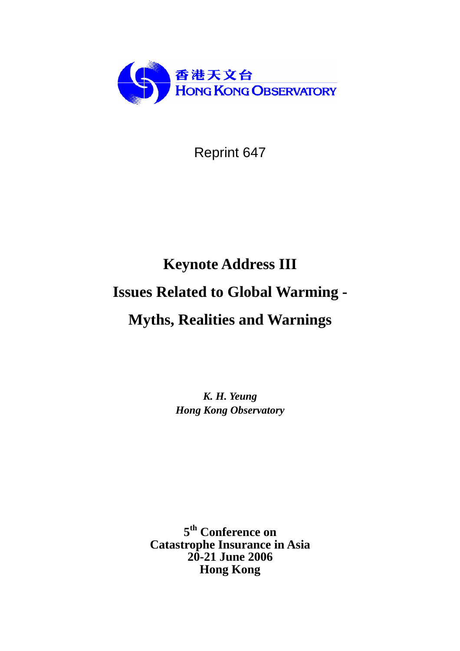

Reprint 647

# **Keynote Address III**

# **Issues Related to Global Warming -**

# **Myths, Realities and Warnings**

*K. H. Yeung Hong Kong Observatory*

**5th Conference on Catastrophe Insurance in Asia 20-21 June 2006 Hong Kong**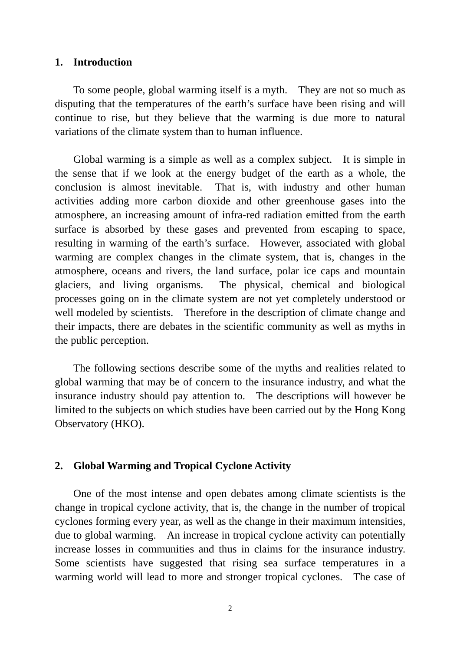### **1. Introduction**

To some people, global warming itself is a myth. They are not so much as disputing that the temperatures of the earth's surface have been rising and will continue to rise, but they believe that the warming is due more to natural variations of the climate system than to human influence.

Global warming is a simple as well as a complex subject. It is simple in the sense that if we look at the energy budget of the earth as a whole, the conclusion is almost inevitable. That is, with industry and other human activities adding more carbon dioxide and other greenhouse gases into the atmosphere, an increasing amount of infra-red radiation emitted from the earth surface is absorbed by these gases and prevented from escaping to space, resulting in warming of the earth's surface. However, associated with global warming are complex changes in the climate system, that is, changes in the atmosphere, oceans and rivers, the land surface, polar ice caps and mountain glaciers, and living organisms. The physical, chemical and biological processes going on in the climate system are not yet completely understood or well modeled by scientists. Therefore in the description of climate change and their impacts, there are debates in the scientific community as well as myths in the public perception.

The following sections describe some of the myths and realities related to global warming that may be of concern to the insurance industry, and what the insurance industry should pay attention to. The descriptions will however be limited to the subjects on which studies have been carried out by the Hong Kong Observatory (HKO).

# **2. Global Warming and Tropical Cyclone Activity**

One of the most intense and open debates among climate scientists is the change in tropical cyclone activity, that is, the change in the number of tropical cyclones forming every year, as well as the change in their maximum intensities, due to global warming. An increase in tropical cyclone activity can potentially increase losses in communities and thus in claims for the insurance industry. Some scientists have suggested that rising sea surface temperatures in a warming world will lead to more and stronger tropical cyclones. The case of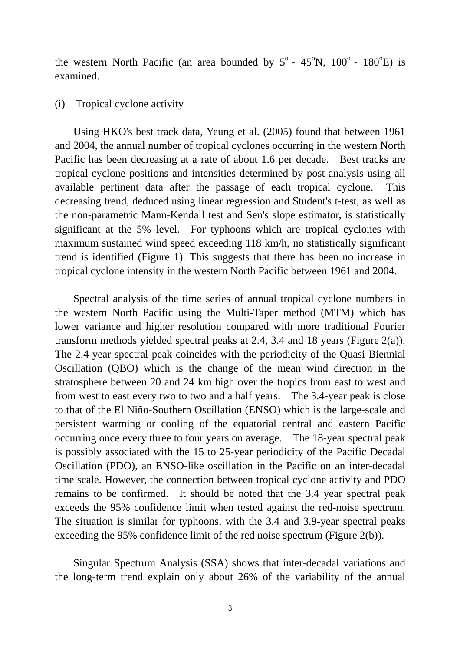the western North Pacific (an area bounded by  $5^{\circ}$  - 45 $^{\circ}$ N, 100 $^{\circ}$  - 180 $^{\circ}$ E) is examined.

#### (i) Tropical cyclone activity

Using HKO's best track data, Yeung et al. (2005) found that between 1961 and 2004, the annual number of tropical cyclones occurring in the western North Pacific has been decreasing at a rate of about 1.6 per decade. Best tracks are tropical cyclone positions and intensities determined by post-analysis using all available pertinent data after the passage of each tropical cyclone. This decreasing trend, deduced using linear regression and Student's t-test, as well as the non-parametric Mann-Kendall test and Sen's slope estimator, is statistically significant at the 5% level. For typhoons which are tropical cyclones with maximum sustained wind speed exceeding 118 km/h, no statistically significant trend is identified (Figure 1). This suggests that there has been no increase in tropical cyclone intensity in the western North Pacific between 1961 and 2004.

Spectral analysis of the time series of annual tropical cyclone numbers in the western North Pacific using the Multi-Taper method (MTM) which has lower variance and higher resolution compared with more traditional Fourier transform methods yielded spectral peaks at 2.4, 3.4 and 18 years (Figure 2(a)). The 2.4-year spectral peak coincides with the periodicity of the Quasi-Biennial Oscillation (QBO) which is the change of the mean wind direction in the stratosphere between 20 and 24 km high over the tropics from east to west and from west to east every two to two and a half years. The 3.4-year peak is close to that of the El Niño-Southern Oscillation (ENSO) which is the large-scale and persistent warming or cooling of the equatorial central and eastern Pacific occurring once every three to four years on average. The 18-year spectral peak is possibly associated with the 15 to 25-year periodicity of the Pacific Decadal Oscillation (PDO), an ENSO-like oscillation in the Pacific on an inter-decadal time scale. However, the connection between tropical cyclone activity and PDO remains to be confirmed. It should be noted that the 3.4 year spectral peak exceeds the 95% confidence limit when tested against the red-noise spectrum. The situation is similar for typhoons, with the 3.4 and 3.9-year spectral peaks exceeding the 95% confidence limit of the red noise spectrum (Figure 2(b)).

Singular Spectrum Analysis (SSA) shows that inter-decadal variations and the long-term trend explain only about 26% of the variability of the annual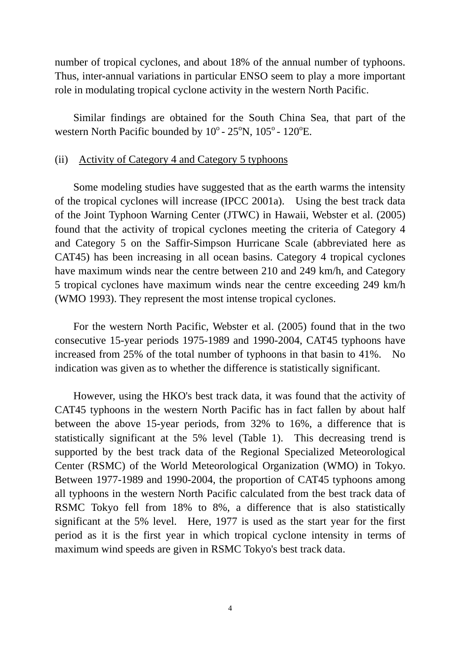number of tropical cyclones, and about 18% of the annual number of typhoons. Thus, inter-annual variations in particular ENSO seem to play a more important role in modulating tropical cyclone activity in the western North Pacific.

Similar findings are obtained for the South China Sea, that part of the western North Pacific bounded by  $10^{\circ}$  -  $25^{\circ}$ N,  $105^{\circ}$  -  $120^{\circ}$ E.

## (ii) Activity of Category 4 and Category 5 typhoons

Some modeling studies have suggested that as the earth warms the intensity of the tropical cyclones will increase (IPCC 2001a). Using the best track data of the Joint Typhoon Warning Center (JTWC) in Hawaii, Webster et al. (2005) found that the activity of tropical cyclones meeting the criteria of Category 4 and Category 5 on the Saffir-Simpson Hurricane Scale (abbreviated here as CAT45) has been increasing in all ocean basins. Category 4 tropical cyclones have maximum winds near the centre between 210 and 249 km/h, and Category 5 tropical cyclones have maximum winds near the centre exceeding 249 km/h (WMO 1993). They represent the most intense tropical cyclones.

For the western North Pacific, Webster et al. (2005) found that in the two consecutive 15-year periods 1975-1989 and 1990-2004, CAT45 typhoons have increased from 25% of the total number of typhoons in that basin to 41%. No indication was given as to whether the difference is statistically significant.

 However, using the HKO's best track data, it was found that the activity of CAT45 typhoons in the western North Pacific has in fact fallen by about half between the above 15-year periods, from 32% to 16%, a difference that is statistically significant at the 5% level (Table 1). This decreasing trend is supported by the best track data of the Regional Specialized Meteorological Center (RSMC) of the World Meteorological Organization (WMO) in Tokyo. Between 1977-1989 and 1990-2004, the proportion of CAT45 typhoons among all typhoons in the western North Pacific calculated from the best track data of RSMC Tokyo fell from 18% to 8%, a difference that is also statistically significant at the 5% level. Here, 1977 is used as the start year for the first period as it is the first year in which tropical cyclone intensity in terms of maximum wind speeds are given in RSMC Tokyo's best track data.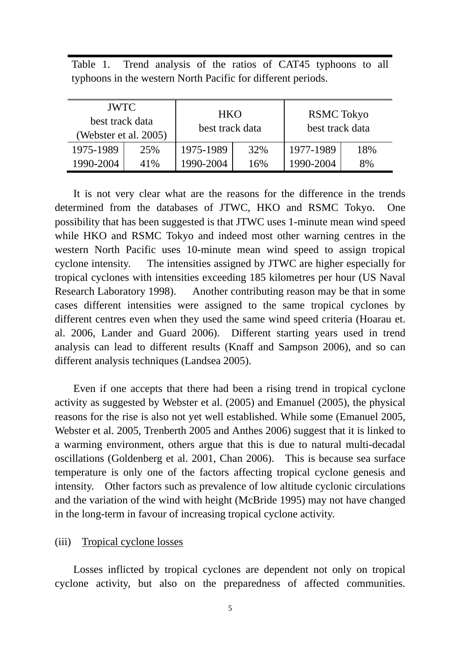Table 1. Trend analysis of the ratios of CAT45 typhoons to all typhoons in the western North Pacific for different periods.

| <b>JWTC</b><br>best track data<br>(Webster et al. 2005) |     | <b>HKO</b><br>best track data |     | <b>RSMC</b> Tokyo<br>best track data |     |
|---------------------------------------------------------|-----|-------------------------------|-----|--------------------------------------|-----|
| 1975-1989                                               | 25% | 1975-1989                     | 32% | 1977-1989                            | 18% |
| 1990-2004                                               | 41% | 1990-2004                     | 16% | 1990-2004                            | 8%  |

 It is not very clear what are the reasons for the difference in the trends determined from the databases of JTWC, HKO and RSMC Tokyo. One possibility that has been suggested is that JTWC uses 1-minute mean wind speed while HKO and RSMC Tokyo and indeed most other warning centres in the western North Pacific uses 10-minute mean wind speed to assign tropical cyclone intensity. The intensities assigned by JTWC are higher especially for tropical cyclones with intensities exceeding 185 kilometres per hour (US Naval Research Laboratory 1998). Another contributing reason may be that in some cases different intensities were assigned to the same tropical cyclones by different centres even when they used the same wind speed criteria (Hoarau et. al. 2006, Lander and Guard 2006). Different starting years used in trend analysis can lead to different results (Knaff and Sampson 2006), and so can different analysis techniques (Landsea 2005).

Even if one accepts that there had been a rising trend in tropical cyclone activity as suggested by Webster et al. (2005) and Emanuel (2005), the physical reasons for the rise is also not yet well established. While some (Emanuel 2005, Webster et al. 2005, Trenberth 2005 and Anthes 2006) suggest that it is linked to a warming environment, others argue that this is due to natural multi-decadal oscillations (Goldenberg et al. 2001, Chan 2006). This is because sea surface temperature is only one of the factors affecting tropical cyclone genesis and intensity. Other factors such as prevalence of low altitude cyclonic circulations and the variation of the wind with height (McBride 1995) may not have changed in the long-term in favour of increasing tropical cyclone activity.

# (iii) Tropical cyclone losses

Losses inflicted by tropical cyclones are dependent not only on tropical cyclone activity, but also on the preparedness of affected communities.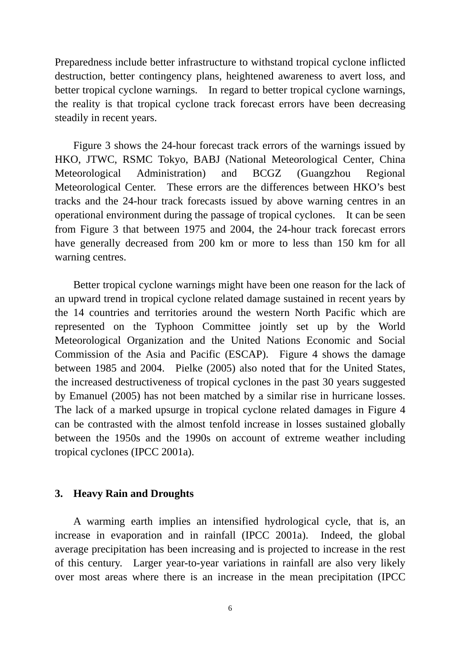Preparedness include better infrastructure to withstand tropical cyclone inflicted destruction, better contingency plans, heightened awareness to avert loss, and better tropical cyclone warnings. In regard to better tropical cyclone warnings, the reality is that tropical cyclone track forecast errors have been decreasing steadily in recent years.

Figure 3 shows the 24-hour forecast track errors of the warnings issued by HKO, JTWC, RSMC Tokyo, BABJ (National Meteorological Center, China Meteorological Administration) and BCGZ (Guangzhou Regional Meteorological Center. These errors are the differences between HKO's best tracks and the 24-hour track forecasts issued by above warning centres in an operational environment during the passage of tropical cyclones. It can be seen from Figure 3 that between 1975 and 2004, the 24-hour track forecast errors have generally decreased from 200 km or more to less than 150 km for all warning centres.

Better tropical cyclone warnings might have been one reason for the lack of an upward trend in tropical cyclone related damage sustained in recent years by the 14 countries and territories around the western North Pacific which are represented on the Typhoon Committee jointly set up by the World Meteorological Organization and the United Nations Economic and Social Commission of the Asia and Pacific (ESCAP). Figure 4 shows the damage between 1985 and 2004. Pielke (2005) also noted that for the United States, the increased destructiveness of tropical cyclones in the past 30 years suggested by Emanuel (2005) has not been matched by a similar rise in hurricane losses. The lack of a marked upsurge in tropical cyclone related damages in Figure 4 can be contrasted with the almost tenfold increase in losses sustained globally between the 1950s and the 1990s on account of extreme weather including tropical cyclones (IPCC 2001a).

## **3. Heavy Rain and Droughts**

A warming earth implies an intensified hydrological cycle, that is, an increase in evaporation and in rainfall (IPCC 2001a). Indeed, the global average precipitation has been increasing and is projected to increase in the rest of this century. Larger year-to-year variations in rainfall are also very likely over most areas where there is an increase in the mean precipitation (IPCC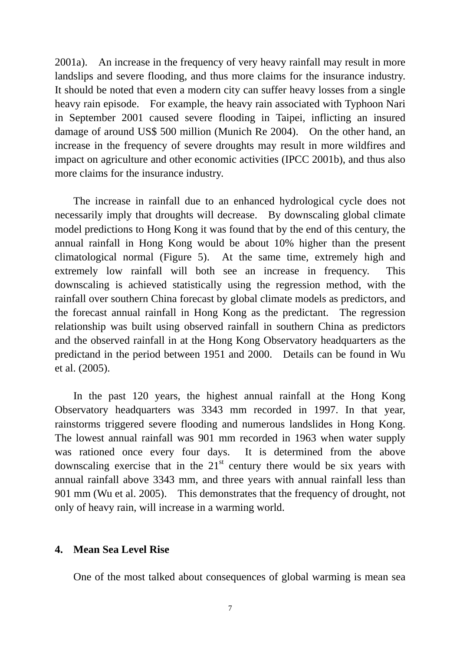2001a). An increase in the frequency of very heavy rainfall may result in more landslips and severe flooding, and thus more claims for the insurance industry. It should be noted that even a modern city can suffer heavy losses from a single heavy rain episode. For example, the heavy rain associated with Typhoon Nari in September 2001 caused severe flooding in Taipei, inflicting an insured damage of around US\$ 500 million (Munich Re 2004). On the other hand, an increase in the frequency of severe droughts may result in more wildfires and impact on agriculture and other economic activities (IPCC 2001b), and thus also more claims for the insurance industry.

The increase in rainfall due to an enhanced hydrological cycle does not necessarily imply that droughts will decrease. By downscaling global climate model predictions to Hong Kong it was found that by the end of this century, the annual rainfall in Hong Kong would be about 10% higher than the present climatological normal (Figure 5). At the same time, extremely high and extremely low rainfall will both see an increase in frequency. This downscaling is achieved statistically using the regression method, with the rainfall over southern China forecast by global climate models as predictors, and the forecast annual rainfall in Hong Kong as the predictant. The regression relationship was built using observed rainfall in southern China as predictors and the observed rainfall in at the Hong Kong Observatory headquarters as the predictand in the period between 1951 and 2000. Details can be found in Wu et al. (2005).

In the past 120 years, the highest annual rainfall at the Hong Kong Observatory headquarters was 3343 mm recorded in 1997. In that year, rainstorms triggered severe flooding and numerous landslides in Hong Kong. The lowest annual rainfall was 901 mm recorded in 1963 when water supply was rationed once every four days. It is determined from the above downscaling exercise that in the  $21<sup>st</sup>$  century there would be six years with annual rainfall above 3343 mm, and three years with annual rainfall less than 901 mm (Wu et al. 2005). This demonstrates that the frequency of drought, not only of heavy rain, will increase in a warming world.

# **4. Mean Sea Level Rise**

One of the most talked about consequences of global warming is mean sea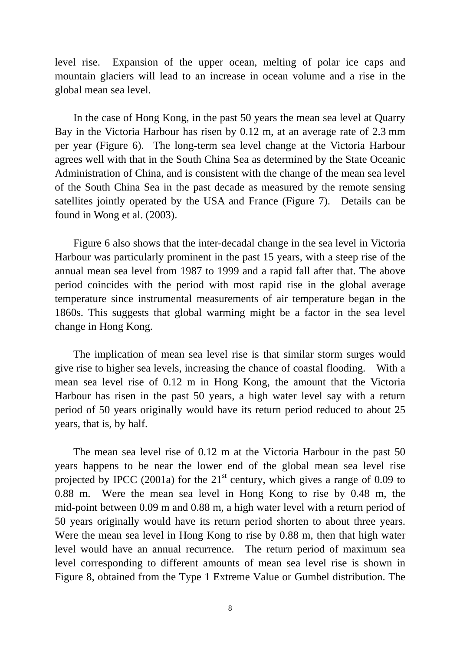level rise. Expansion of the upper ocean, melting of polar ice caps and mountain glaciers will lead to an increase in ocean volume and a rise in the global mean sea level.

In the case of Hong Kong, in the past 50 years the mean sea level at Quarry Bay in the Victoria Harbour has risen by 0.12 m, at an average rate of 2.3 mm per year (Figure 6). The long-term sea level change at the Victoria Harbour agrees well with that in the South China Sea as determined by the State Oceanic Administration of China, and is consistent with the change of the mean sea level of the South China Sea in the past decade as measured by the remote sensing satellites jointly operated by the USA and France (Figure 7). Details can be found in Wong et al. (2003).

Figure 6 also shows that the inter-decadal change in the sea level in Victoria Harbour was particularly prominent in the past 15 years, with a steep rise of the annual mean sea level from 1987 to 1999 and a rapid fall after that. The above period coincides with the period with most rapid rise in the global average temperature since instrumental measurements of air temperature began in the 1860s. This suggests that global warming might be a factor in the sea level change in Hong Kong.

The implication of mean sea level rise is that similar storm surges would give rise to higher sea levels, increasing the chance of coastal flooding. With a mean sea level rise of 0.12 m in Hong Kong, the amount that the Victoria Harbour has risen in the past 50 years, a high water level say with a return period of 50 years originally would have its return period reduced to about 25 years, that is, by half.

The mean sea level rise of 0.12 m at the Victoria Harbour in the past 50 years happens to be near the lower end of the global mean sea level rise projected by IPCC (2001a) for the  $21<sup>st</sup>$  century, which gives a range of 0.09 to 0.88 m. Were the mean sea level in Hong Kong to rise by 0.48 m, the mid-point between 0.09 m and 0.88 m, a high water level with a return period of 50 years originally would have its return period shorten to about three years. Were the mean sea level in Hong Kong to rise by 0.88 m, then that high water level would have an annual recurrence. The return period of maximum sea level corresponding to different amounts of mean sea level rise is shown in Figure 8, obtained from the Type 1 Extreme Value or Gumbel distribution. The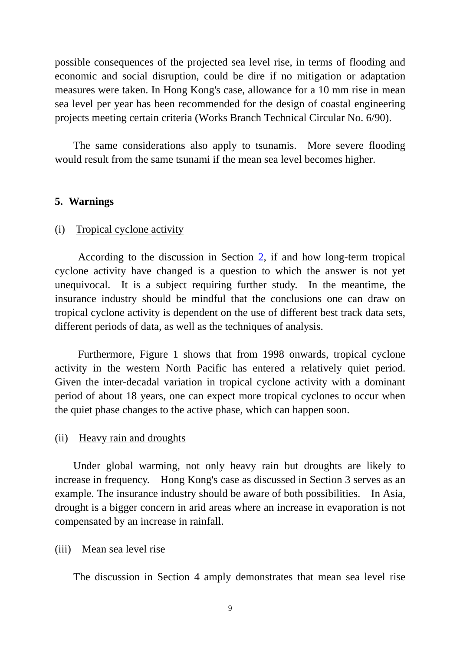possible consequences of the projected sea level rise, in terms of flooding and economic and social disruption, could be dire if no mitigation or adaptation measures were taken. In Hong Kong's case, allowance for a 10 mm rise in mean sea level per year has been recommended for the design of coastal engineering projects meeting certain criteria (Works Branch Technical Circular No. 6/90).

The same considerations also apply to tsunamis. More severe flooding would result from the same tsunami if the mean sea level becomes higher.

## **5. Warnings**

#### (i) Tropical cyclone activity

According to the discussion in Section 2, if and how long-term tropical cyclone activity have changed is a question to which the answer is not yet unequivocal. It is a subject requiring further study. In the meantime, the insurance industry should be mindful that the conclusions one can draw on tropical cyclone activity is dependent on the use of different best track data sets, different periods of data, as well as the techniques of analysis.

Furthermore, Figure 1 shows that from 1998 onwards, tropical cyclone activity in the western North Pacific has entered a relatively quiet period. Given the inter-decadal variation in tropical cyclone activity with a dominant period of about 18 years, one can expect more tropical cyclones to occur when the quiet phase changes to the active phase, which can happen soon.

#### (ii) Heavy rain and droughts

Under global warming, not only heavy rain but droughts are likely to increase in frequency. Hong Kong's case as discussed in Section 3 serves as an example. The insurance industry should be aware of both possibilities. In Asia, drought is a bigger concern in arid areas where an increase in evaporation is not compensated by an increase in rainfall.

#### (iii) Mean sea level rise

The discussion in Section 4 amply demonstrates that mean sea level rise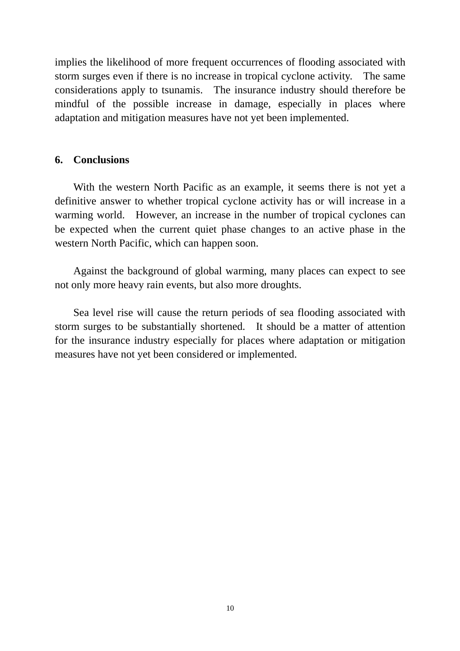implies the likelihood of more frequent occurrences of flooding associated with storm surges even if there is no increase in tropical cyclone activity. The same considerations apply to tsunamis. The insurance industry should therefore be mindful of the possible increase in damage, especially in places where adaptation and mitigation measures have not yet been implemented.

## **6. Conclusions**

With the western North Pacific as an example, it seems there is not yet a definitive answer to whether tropical cyclone activity has or will increase in a warming world. However, an increase in the number of tropical cyclones can be expected when the current quiet phase changes to an active phase in the western North Pacific, which can happen soon.

Against the background of global warming, many places can expect to see not only more heavy rain events, but also more droughts.

Sea level rise will cause the return periods of sea flooding associated with storm surges to be substantially shortened. It should be a matter of attention for the insurance industry especially for places where adaptation or mitigation measures have not yet been considered or implemented.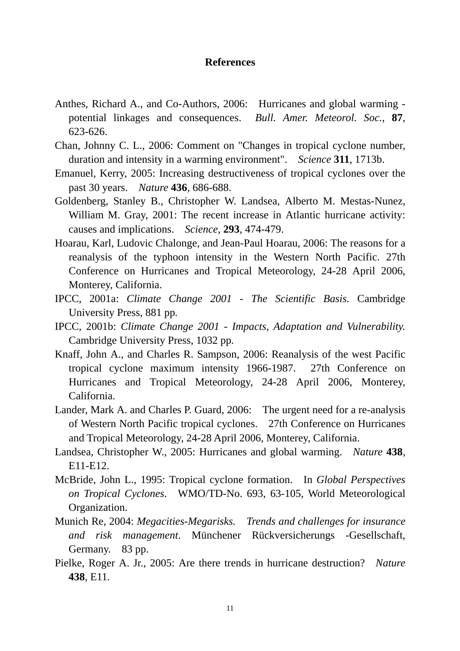### **References**

- Anthes, Richard A., and Co-Authors, 2006: Hurricanes and global warming potential linkages and consequences. *Bull. Amer. Meteorol. Soc.*, **87**, 623-626.
- Chan, Johnny C. L., 2006: Comment on "Changes in tropical cyclone number, duration and intensity in a warming environment". *Science* **311**, 1713b.
- Emanuel, Kerry, 2005: Increasing destructiveness of tropical cyclones over the past 30 years. *Nature* **436**, 686-688.
- Goldenberg, Stanley B., Christopher W. Landsea, Alberto M. Mestas-Nunez, William M. Gray, 2001: The recent increase in Atlantic hurricane activity: causes and implications. *Science*, **293**, 474-479.
- Hoarau, Karl, Ludovic Chalonge, and Jean-Paul Hoarau, 2006: The reasons for a reanalysis of the typhoon intensity in the Western North Pacific. 27th Conference on Hurricanes and Tropical Meteorology, 24-28 April 2006, Monterey, California.
- IPCC, 2001a: *Climate Change 2001 The Scientific Basis.* Cambridge University Press, 881 pp*.*
- IPCC, 2001b: *Climate Change 2001 Impacts, Adaptation and Vulnerability.* Cambridge University Press, 1032 pp*.*
- Knaff, John A., and Charles R. Sampson, 2006: Reanalysis of the west Pacific tropical cyclone maximum intensity 1966-1987. 27th Conference on Hurricanes and Tropical Meteorology, 24-28 April 2006, Monterey, California.
- Lander, Mark A. and Charles P. Guard, 2006: The urgent need for a re-analysis of Western North Pacific tropical cyclones. 27th Conference on Hurricanes and Tropical Meteorology, 24-28 April 2006, Monterey, California.
- Landsea, Christopher W., 2005: Hurricanes and global warming. *Nature* **438***,*  E11-E12.
- McBride, John L., 1995: Tropical cyclone formation. In *Global Perspectives on Tropical Cyclones*. WMO/TD-No. 693, 63-105, World Meteorological Organization.
- Munich Re, 2004: *Megacities-Megarisks. Trends and challenges for insurance and risk management*. Münchener Rückversicherungs -Gesellschaft, Germany. 83 pp.
- Pielke, Roger A. Jr., 2005: Are there trends in hurricane destruction? *Nature*  **438**, E11*.*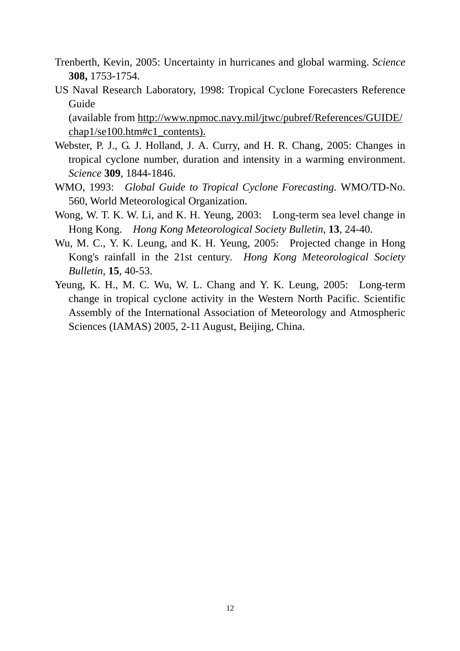- Trenberth, Kevin, 2005: Uncertainty in hurricanes and global warming. *Science* **308,** 1753-1754.
- US Naval Research Laboratory, 1998: Tropical Cyclone Forecasters Reference Guide

(available from http://www.npmoc.navy.mil/jtwc/pubref/References/GUIDE/ chap1/se100.htm#c1\_contents).

- Webster, P. J., G. J. Holland, J. A. Curry, and H. R. Chang, 2005: Changes in tropical cyclone number, duration and intensity in a warming environment. *Science* **309**, 1844-1846.
- WMO, 1993: *Global Guide to Tropical Cyclone Forecasting.* WMO/TD-No. 560, World Meteorological Organization.
- Wong, W. T. K. W. Li, and K. H. Yeung, 2003: Long-term sea level change in Hong Kong. *Hong Kong Meteorological Society Bulletin*, **13**, 24-40.
- Wu, M. C., Y. K. Leung, and K. H. Yeung, 2005: Projected change in Hong Kong's rainfall in the 21st century. *Hong Kong Meteorological Society Bulletin*, **15**, 40-53.
- Yeung, K. H., M. C. Wu, W. L. Chang and Y. K. Leung, 2005: Long-term change in tropical cyclone activity in the Western North Pacific. Scientific Assembly of the International Association of Meteorology and Atmospheric Sciences (IAMAS) 2005, 2-11 August, Beijing, China.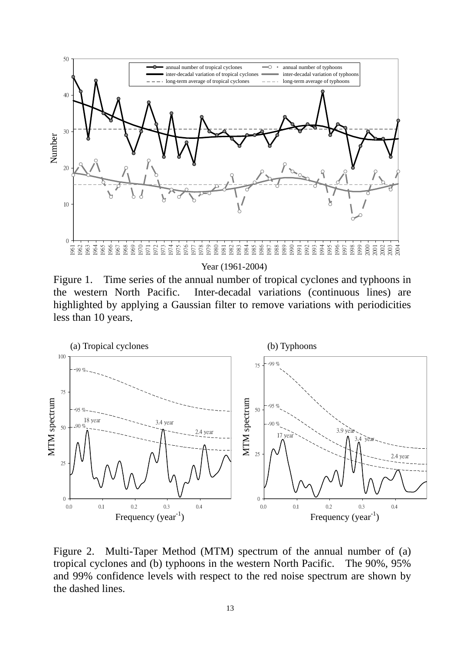

Year (1961-2004)

Figure 1. Time series of the annual number of tropical cyclones and typhoons in the western North Pacific. Inter-decadal variations (continuous lines) are highlighted by applying a Gaussian filter to remove variations with periodicities



Figure 2. Multi-Taper Method (MTM) spectrum of the annual number of (a) tropical cyclones and (b) typhoons in the western North Pacific. The 90%, 95% and 99% confidence levels with respect to the red noise spectrum are shown by the dashed lines.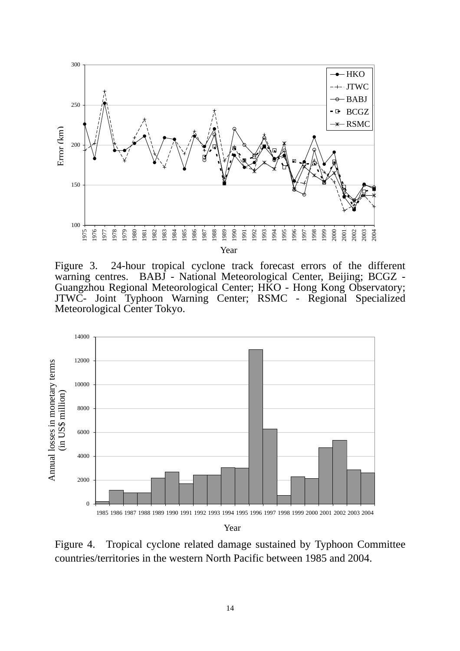

Figure 3. 24-hour tropical cyclone track forecast errors of the different warning centres. BABJ - National Meteorological Center, Beijing; BCGZ -Guangzhou Regional Meteorological Center; HKO - Hong Kong Observatory; JTWC- Joint Typhoon Warning Center; RSMC - Regional Specialized Meteorological Center Tokyo.



Figure 4. Tropical cyclone related damage sustained by Typhoon Committee countries/territories in the western North Pacific between 1985 and 2004.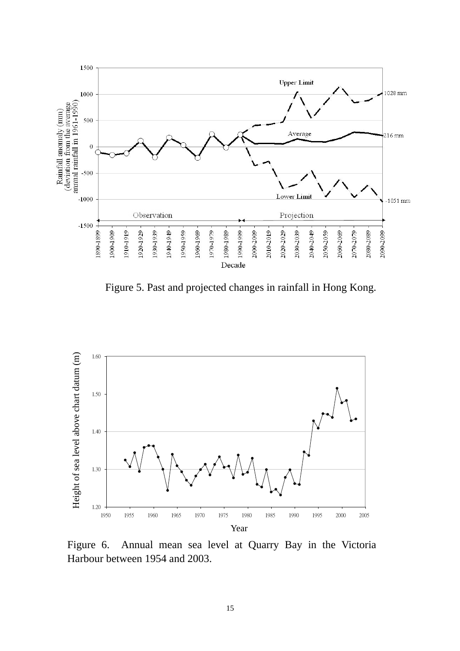

Figure 5. Past and projected changes in rainfall in Hong Kong.



Figure 6. Annual mean sea level at Quarry Bay in the Victoria Harbour between 1954 and 2003.